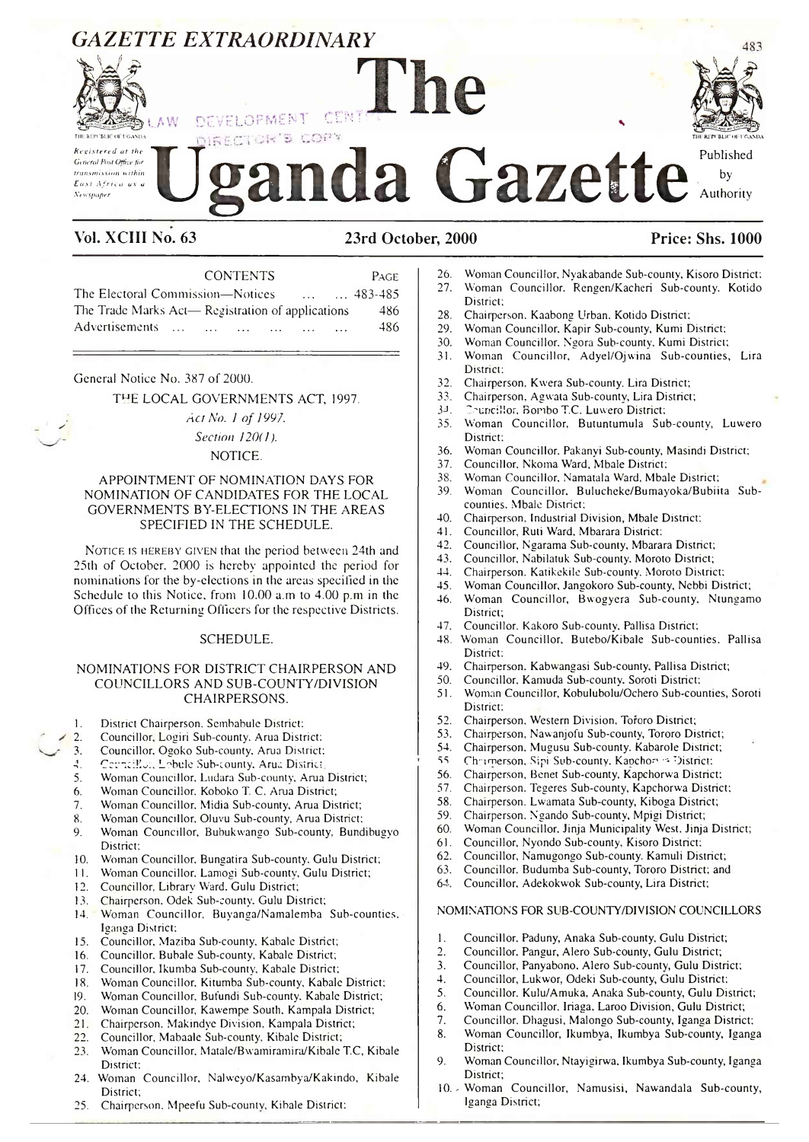

- 28. Chairperson. Kaabong Urban. Kotido District;<br>29. Woman Councillor. Kapir Sub-county. Kumi D
- 29. Woman Councillor. Kapir Sub-county, Kumi District;
- 30. Woman Councillor. Ngora Sub-county, Kumi District;
- 31. Woman Councillor, Adyel/Ojwina Sub-counties, Lira District:
- 32. Chairperson, Kwera Sub-county. Lira District;<br>33. Chairperson, Agwata Sub-county, Lira District
- 33. Chairperson, Agwata Sub-county, Lira District;<br>34. Councillor, Bombo T.C. Luwero District:
- 34. Councillor, Bombo T.C. Luwero District;<br>35. Woman Councillor, Butuntumula Su
- 35. Woman Councillor, Butuntumula Sub-county, Luwero District;
- 36. Woman Councillor. Pakanyi Sub-county, Masindi District;
- 37. Councillor, Nkoma Ward, Mbale District;<br>38. Woman Councillor, Namatala Ward, Mba
- 
- 38. Woman Councillor, Namatala Ward, Mbale District; Woman Councillor. Bulucheke/Bumayoka/Bubiita Subcounties. Mbale District;
- 40. Chairperson. Industrial Division, Mbale District;
- 
- 41. Councillor, Ruti Ward, Mbarara District:<br>42. Councillor, Ngarama Sub-county, Mbara 42. Councillor, Ngarama Sub-county, Mbarara District;
- 43. Councillor, Nabilatuk Sub-county. Moroto District;
- 44. Chairperson, Katikekile Sub-county, Moroto District;
- 
- 45. Woman Councillor, Jangokoro Sub-county, Nebbi District; 46. Woman Councillor, Bwogyera Sub-county, Ntungamo District;
- 47. Councillor, Kakoro Sub-county, Pallisa District;
- 48. Woman Councillor, Butebo/Kibale Sub-counties, Pallisa District:
- 49. Chairperson. Kabwangasi Sub-county, Pallisa District;
- 50. Councillor, Kamuda Sub-county, Soroti District;<br>51. Woman Councillor, Kobulubolu/Ochero Sub-cou
- 51. Woman Councillor, Kobulubolu/Ochero Sub-counties, Soroti District:
- 52. Chairperson. Western Division, Tororo District;
- 53. Chairperson, Nawanjofu Sub-county, Tororo District;
- 
- 54. Chairperson, Mugusu Sub-county. Kabarole District;<br>55. Chairperson, Sini Sub-county. Kanchory a District; Chrimerson, Sipi Sub-county, Kanchori -= District:
- 56. Chairperson, Benet Sub-county, Kapchorwa District:
- 57. Chairperson. Tegeres Sub-county, Kapchorwa District;
- 58. Chairperson. Lwamata Sub-county, Kiboga District;
- 59. Chairperson, Ngando Sub-county, Mpigi District;
- 
- 60. Woman Councillor. Jinja Municipality West, Jinja District;<br>61. Councillor. Nyondo Sub-county, Kisoro District; Councillor, Nyondo Sub-county, Kisoro District;
- 62. Councillor, Namugongo Sub-county. Kamuli District;
- 63. Councillor, Budumba Sub-county, Tororo District; and
- 64. Councillor. Adekokwok Sub-county, Lira District;

### NOMINATIONS FOR SUB-COUNTY/DIVISION COUNCILLORS

- 1. Councillor, Paduny, Anaka Sub-county. Gulu District;
- 2. Councillor. Pangur, Alero Sub-county, Gulu District;<br>3. Councillor, Panyabono, Alero Sub-county, Gulu Dist
- 3. Councillor, Panyabono. Alero Sub-county, Gulu District;
- 4. Councillor, Lukwor, Odeki Sub-county, Gulu District;
- 5. Councillor. Kulu/Amuka, Anaka Sub-county, Gulu District;
- 6. Woman Councillor. Iriaga. Laroo Division, Gulu District;
- 7. Councillor, Dhagusi, Malongo Sub-county, Iganga District;
- 8. Woman Councillor, Ikumbya, Ikumbya Sub-county, Iganga District;
- 9. Woman Councillor, Ntayigirwa, Ikumbya Sub-county, Iganga District;
- 10. Woman Councillor, Namusisi, Nawandala Sub-county, Iganga District;

General Notice No. 387 of 2000.

THE LOCAL GOVERNMENTS ACT, 1997.

*Act No. 1 of 1997.* 

Advertisements ... ... ... ... ... ... 486

*Section 120(1).* NOTICE.

### APPOINTMENT OF NOMINATION DAYS FOR NOMINATION OF CANDIDATES FOR THE LOCAL GOVERNMENTS BY-ELECTIONS IN THE AREAS SPECIFIED IN THE SCHEDULE.

NOTICE IS HEREBY GIVEN that the period between 24th and 25th of October. 2000 is hereby appointed the period for nominations for the by-elections in the areas specified in the Schedule to this Notice, from 10.00 a.m to 4.00 p.m in the Offices of the Returning Officers for the respective Districts.

#### SCHEDULE.

### NOMINATIONS FOR DISTRICT CHAIRPERSON AND COUNCILLORS AND SUB-COUNTY/DIVISION CHAIRPERSONS.

- 1. District Chairperson. Sembabule District:<br>2. Councillor, Logiri Sub-county. Arua Distr
- 2. Councillor, Logiri Sub-county, Arua District;<br>3. Councillor, Ogoko Sub-county, Arua District;
- Councillor, Ogoko Sub-county, Arua District:
- *A.* Cc'cnciKa:, Lobule Sub-county. Arua District,
- Woman Councillor, Ludara Sub-county, Arua District;
- 6. Woman Councillor. Koboko T. C. Arua District;
- 7. Woman Councillor, Midia Sub-county, Arua District;
- 8. Woman Councillor, Oluvu Sub-county, Arua District;<br>9. Woman Councillor, Bubukwango Sub-county. Bund
- 9. Woman Councillor, Bubukwango Sub-county, Bundibugyo District;
- 10. Woman Councillor, Bungatira Sub-county. Gulu District;
- II. Woman Councillor. Lamogi Sub-countv, Gulu District;
- 12. Councillor, Library Ward. Gulu District;
- 13. Chairperson. Odek Sub-county. Gulu District;
- 14. Woman Councillor, Buyanga/Namalemba Sub-counties, Iganga District;
- 15. Councillor, Maziba Sub-county, Kabale District;
- 16. Councillor. Bubale Sub-county, Kabale District;
- 17. Councillor, Ikumba Sub-county, Kabale District;
- 18. Woman Councillor. Kitumba Sub-county, Kabale District;
- 19. Woman Councillor, Bufundi Sub-county. Kabale District;
- 20. Woman Councillor, Kawempe South. Kampala District;
- 21. Chairperson. Makindye Division, Kampala District;
- 22. Councillor, Mabaale Sub-county, Kibale District;
- 23. Woman Councillor, Matale/Bwamiramira/Kibale T.C, Kibale District:
- 24. Woman Councillor, Nalweyo/Kasambya/Kakindo, Kibale District;
- 25. Chairperson. Mpeefu Sub-county, Kibale District;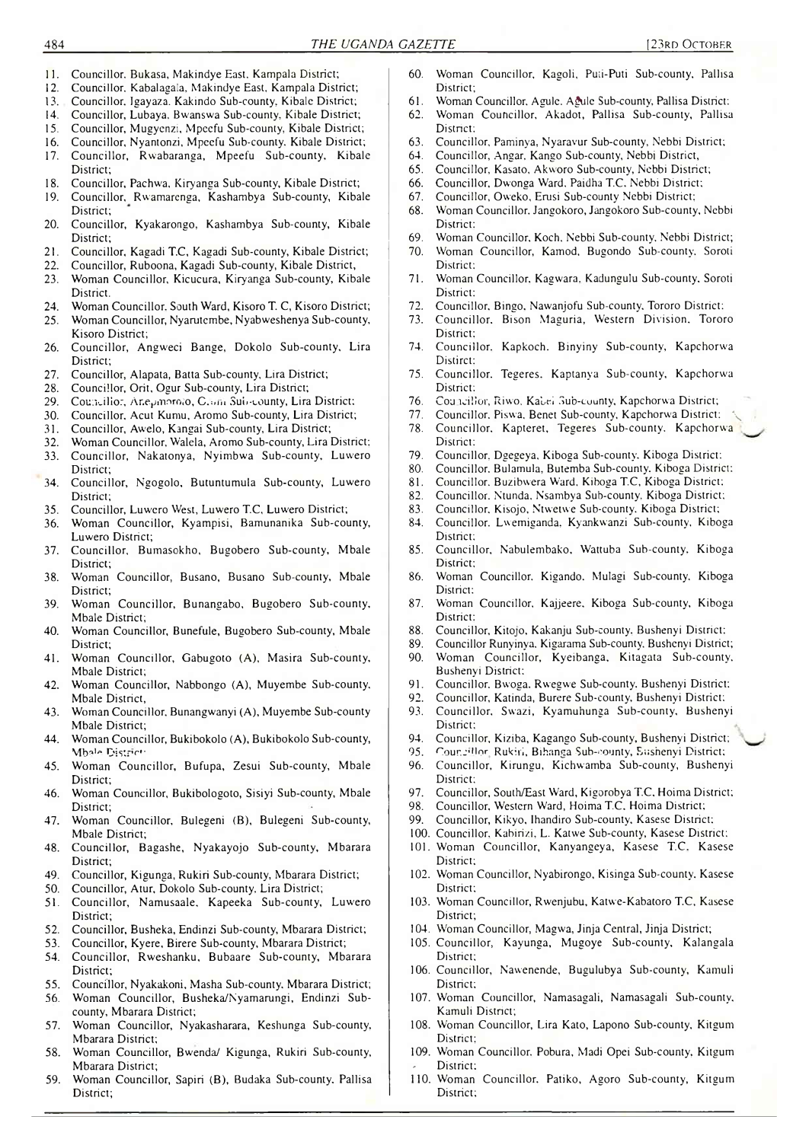- 11. Councillor. Bukasa, Makindye East, Kampala District;
- 12. Councillor, Kabalagala, Makindye East, Kampala District;
- 13. Councillor, Jgayaza. Kakindo Sub-county, Kibale District;
- Councillor, Lubaya, Bwanswa Sub-county, Kibale District;
- 15. Councillor, Mugyenzi, Mpeefu Sub-county, Kibale District; 16. Councillor, Nyantonzi, Mpeefu Sub-county. Kibale District;
- 17. Councillor, Rwabaranga, Mpeefu Sub-county, Kibale District;
- 18. Councillor, Pachwa, Kiryanga Sub-county, Kibale District;
- 19. Councillor, Rwamarenga, Kashambya Sub-county, Kibale District;
- 20. Councillor, Kyakarongo, Kashambya Sub-county, Kibale District;
- 21. Councillor, Kagadi T.C, Kagadi Sub-county, Kibale District;
- 22. Councillor, Ruboona, Kagadi Sub-county, Kibale District,
- 23. Woman Councillor, Kicucura, Kiryanga Sub-county, Kibale **District.**
- 24. Woman Councillor. South Ward, Kisoro T. C, Kisoro District;<br>25. Woman Councillor, Nyarutembe, Nyabweshenya Sub-county,
- 25. Woman Councillor, Nyarutembe, Nyabweshenya Sub-county, Kisoro District;
- 26. Councillor, Angweci Bange, Dokolo Sub-county, Lira District;
- 27. Councillor, Alapata, Batta Sub-county, Lira District;
- 28. Councillor, Orit, Ogur Sub-county, Lira District;
- 29. Councillor, Ar.epmoroio, C.iim Sub-county, Lira District:
- 30. Councillor, Acut Kumu, Aromo Sub-county, Lira District;
- 31. Councillor, Awelo, Kangai Sub-county, Lira District;
- 32. Woman Councillor, Walela, Aromo Sub-county, Lira District: 33. Councillor, Nakatonya, Nyimbwa Sub-county, Luwero
- District; 34. Councillor, Ngogolo, Butuntumula Sub-county, Luwero
- District;
- 35. Councillor, Luwero West, Luwero T.C, Luwero District;
- 36. Woman Councillor, Kyampisi, Bamunanika Sub-county, Luwero District;
- 37. Councillor, Bumasokho, Bugobero Sub-county, Mbale District;
- 38. Woman Councillor, Busano, Busano Sub-county, Mbale District;
- 39. Woman Councillor, Bunangabo, Bugobero Sub-county, Mbale District;
- 40. Woman Councillor, Bunefule, Bugobero Sub-county, Mbale District;
- 41. Woman Councillor, Gabugoto (A), Masira Sub-county, Mbale District;
- 42. Woman Councillor, Nabbongo (A), Muyembe Sub-county, Mbale District,
- 43. Woman Councillor. Bunangwanyi (A), Muyembe Sub-county Mbale District;
- 44. Woman Councillor, Bukibokolo (A), Bukibokolo Sub-county, Mhale District
- 45. Woman Councillor, Bufupa, Zesui Sub-county, Mbale District;
- 46. Woman Councillor, Bukibologoto, Sisiyi Sub-county, Mbale District;
- 47. Woman Councillor, Bulegeni (B), Bulegeni Sub-county, Mbale District;
- 48. Councillor, Bagashe, Nyakayojo Sub-county, Mbarara District;
- 49. Councillor, Kigunga, Rukiri Sub-county, Mbarara District;
- 50. Councillor, Atur, Dokolo Sub-county, Lira District;
- 51. Councillor, Namusaale, Kapeeka Sub-county, Luwero District;
- 52. Councillor, Busheka, Endinzi Sub-county, Mbarara District;
- 53. Councillor, Kyere, Birere Sub-county, Mbarara District;
- 54. Councillor, Rweshanku, Bubaare Sub-county, Mbarara District;
- 55. Councillor, Nyakakoni, Masha Sub-county, Mbarara District;
- 56. Woman Councillor, Busheka/Nyamarungi, Endinzi Subcounty, Mbarara District;
- 57. Woman Councillor, Nyakasharara, Keshunga Sub-county, Mbarara District;
- 58. Woman Councillor, Bwenda/ Kigunga, Rukiri Sub-county, Mbarara District;
- 59. Woman Councillor, Sapiri (B), Budaka Sub-county. Pallisa District;
- 60. Woman Councillor, Kagoli, Pu:i-Puti Sub-county, Pallisa District;
- 61. Woman Councillor, Agule, A£ule Sub-county, Pallisa District:
- Woman Councillor, Akadot, Pallisa Sub-county, Pallisa District:
- 63. Councillor, Paminya, Nyaravur Sub-county, Nebbi District;
- 64. Councillor, Angar, Kango Sub-county, Nebbi District,
- 65. Councillor, Kasato, Akworo Sub-county, Nebbi District;
- 66. Councillor, Dwonga Ward. Paidha T.C. Nebbi District; 67. Councillor, Oweko, Erusi Sub-county Nebbi District;
- 68. Woman Councillor. Jangokoro, Jangokoro Sub-county, Nebbi District:
- 69. Woman Councillor. Koch, Nebbi Sub-county, Nebbi District;
- 70. Woman Councillor, Kamod, Bugondo Sub-county. Soroti District;
- 71. Woman Councillor. Kagwara. Kadungulu Sub-county. Soroti District:
- 72. Councillor. Bingo, Nawanjofu Sub-county, Tororo District:
- 73. Councillor. Bison Maguria, Western Division, Tororo District;
- 74. Councillor. Kapkoch, Binyiny Sub-county, Kapchorwa Distirct:
- 75. Councillor, Tegeres. Kaptanya Sub-county, Kapchorwa District:
- 76. Cou icilior, Riwo, Kabei Sub-county, Kapchorwa District;
- Councillor. Piswa, Benet Sub-county, Kapchorwa District:
- 78. Councillor, Kapteret, Tegeres Sub-county, Kapchorwa District:
- 79. Councillor, Dgegeya, Kiboga Sub-county. Kiboga District:
- Councillor. Bulamula, Butemba Sub-county. Kiboga District:
- 81. Councillor, Buzibwera Ward, Kiboga T.C, Kiboga District;
- 82. Councillor. Ntunda, Nsambya Sub-county, Kiboga District;<br>83. Councillor, Kisojo, Ntwetwe Sub-county, Kiboga District;
- Councillor, Kisojo, Ntwetwe Sub-county. Kiboga District;
- 84. Councillor. Lwemiganda, Kyankwanzi Sub-county, Kiboga District;
- 85. Councillor, Nabulembako, Wattuba Sub-county, Kiboga District;
- 86. Woman Councillor, Kigando. Mulagi Sub-county, Kiboga District:
- 87. Woman Councillor, Kajjeere. Kiboga Sub-county, Kiboga District:
- 88. Councillor, Kitojo, Kakanju Sub-county. Bushenyi District:
- 89. Councillor Runyinya, Kigarama Sub-county. Bushenyi District;
- 90. Woman Councillor, Kyeibanga, Kitagata Sub-county, Bushenyi District:
- 
- 91. Councillor, Bwoga, Rwegwe Sub-county, Bushenyi District:<br>92. Councillor, Katinda, Burere Sub-county, Bushenyi District: Councillor, Katinda, Burere Sub-county, Bushenyi District;
- 93. Councillor, Swazi, Kyamuhunga Sub-county, Bushenyi District;
- 94. Councillor, Kiziba, Kagango Sub-county, Bushenyi District;
- 95. Counc'llor Rukiri, Bihanga Sub-county, Bushenyi District;
- 96. Councillor, Kirungu, Kichwamba Sub-county, Bushenyi District;
- 97. Councillor, South/East Ward, Kigorobya T.C, Hoima District;
- 98. Councillor, Western Ward, Hoima T.C. Hoima District;
- 99. Councillor, Kikyo, Ihandiro Sub-county, Kasese District:
- 100. Councillor. Kabirizi, L. Katwe Sub-county, Kasese District;
- 101. Woman Councillor, Kanyangeya, Kasese T.C. Kasese District;
- 102. Woman Councillor, Nyabirongo, Kisinga Sub-county, Kasese District:
- 103. Woman Councillor, Rwenjubu, Katwe-Kabatoro T.C, Kasese District;
- 104. Woman Councillor, Magwa, Jinja Central, Jinja District;
- 105. Councillor, Kayunga, Mugoye Sub-county, Kalangala District;
- 106. Councillor, Nawenende, Bugulubya Sub-county, Kamuli District;
- 107. Woman Councillor, Namasagali, Namasagali Sub-county, Kamuli District;
- 108. Woman Councillor, Lira Kato, Lapono Sub-county, Kitgum District;
- 109. Woman Councillor. Pobura, Madi Opei Sub-county, Kitgum District:
- 110. Woman Councillor. Patiko, Agoro Sub-county, Kitgum District;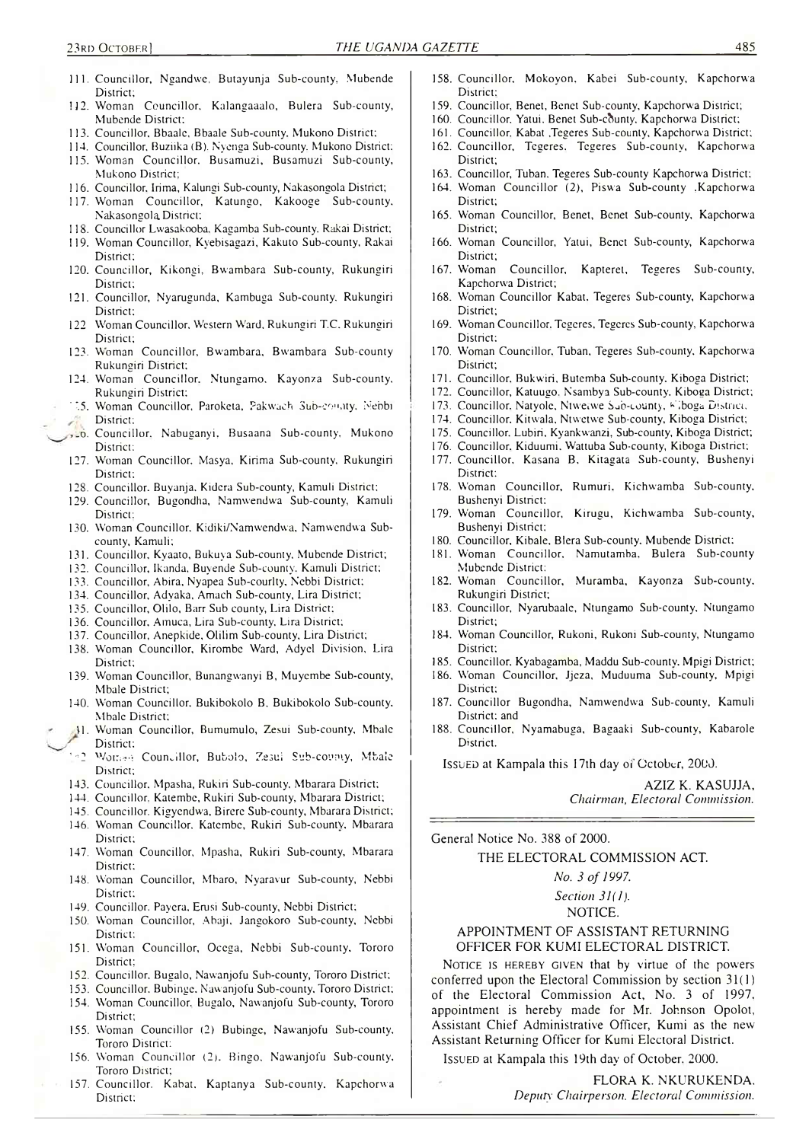- 111. Councillor, Ngandwe, Butayunja Sub-county, Mubende District:
- 112. Woman Councillor, Kalangaaalo, Bulera Sub-county, Mubende District;
- 113. Councillor. Bbaale, Bbaale Sub-county. Mukono District;
- 114. Councillor. Buziika (B). Nyenga Sub-county. Mukono District;
- 115. Woman Councillor. Busamuzi, Busamuzi Sub-county, Mukono District;
- 116. Councillor. Irima, Kalungi Sub-county, Nakasongola District;
- 117. Woman Councillor, Katungo, Kakooge Sub-county. Nakasongola, District;
- 118. Councillor Lwasakooba. Kagamba Sub-county. Rakai District;
- 119. Woman Councillor, Kyebisagazi, Kakuto Sub-county, Rakai District;
- 120. Councillor, Kikongi, Bwambara Sub-county, Rukungiri District;
- 121. Councillor, Nyarugunda, Kambuga Sub-county. Rukungiri District;
- 122 Woman Councillor. Western Ward, Rukungiri T.C. Rukungiri District;
- 123. Woman Councillor, Bwambara, Bwambara Sub-county Rukungiri District;
- 124. Woman Councillor. Ntungamo. Kayonza Sub-county. Rukungiri District:
- ' 35. Woman Councillor, Paroketa, Pakwach Sub-comity, Nebbi District;
- ,\_6. Councillor. Nabuganyi, Busaana Sub-county, Mukono District:
- 127. Woman Councillor, Masya, Kirima Sub-county, Rukungiri District;
- 128. Councillor. Buyanja, Kidera Sub-county, Kamuli District;
- 129. Councillor, Bugondha, Namwendwa Sub-county, Kamuli District:
- 130. Woman Councillor. Kidiki/Namwendwa, Namwendwa Subcounty, Kamuli;
- 131. Councillor, Kyaato, Bukuya Sub-county, Mubende District;
- 132. Councillor, Ikanda, Buyende Sub-county. Kamuli District;
- 133. Councillor, Abira, Nyapea Sub-courlty, Nebbi District:
- 134. Councillor, Adyaka, Amach Sub-county, Lira District;
- 135. Councillor, Olilo, Barr Sub county, Lira District;
- 136. Councillor. Amuca, Lira Sub-county, Lira District;
- 137. Councillor, Anepkide, Olilim Sub-county, Lira District;
- 138. Woman Councillor, Kirombe Ward, Adyel Division, Lira District;
- 139. Woman Councillor, Bunangwanyi B, Muycmbe Sub-county, Mbale District;
- 140. Woman Councillor, Bukibokolo B, Bukibokolo Sub-county, Mbale District;
- 14. Woman Councillor, Bumumulo, Zesui Sub-county, Mbale District:
- *\--2* Woma-t Councillor, Buboio, Zesui Sub-county, Mbale District;
- 143. Councillor. Mpasha, Rukiri Sub-county, Mbarara District;
- 144. Councillor. Katembe, Rukiri Sub-county, Mbarara District;
- 145. Councillor. Kigyendwa, Birere Sub-county, Mbarara District;
- 146. Woman Councillor, Katembe, Rukiri Sub-county, Mbarara District;
- 147. Woman Councillor, Mpasha, Rukiri Sub-county, Mbarara District:
- 148. Woman Councillor, Mbaro, Nyaravur Sub-county, Nebbi District;
- 149. Councillor, Payera, Erusi Sub-county, Nebbi District;
- 150. Woman Councillor, Abaji, Jangokoro Sub-county, Nebbi District;
- 151. Woman Councillor, Ocega, Nebbi Sub-county, Tororo District;
- 152. Councillor. Bugalo, Nawanjofu Sub-county, Tororo District;
- 153. Councillor, Bubinge. Nawanjofu Sub-county, Tororo District; 154. W'oman Councillor. Bugalo, Nawanjofu Sub-county, Tororo
- District;
- 155. W'oman Councillor (2) Bubinge, Nawanjofu Sub-county, Tororo District:
- 156. Woman Councillor (2). Bingo, Nawanjofu Sub-county, Tororo District;
- 157. Councillor. Kabat. Kaptanya Sub-county. Kapchorwa District:
- 158. Councillor. Mokoyon, Kabei Sub-county, Kapchorwa District:
- 159. Councillor, Benet, Benet Sub-county, Kapchorwa District;
- 160. Councillor, Yatui, Benet Sub-county, Kapchorwa District;
- 161. Councillor. Kabat ,Tegeres Sub-county, Kapchorwa District; 162. Councillor, Tegeres. Tegeres Sub-county, Kapchorwa
- District;
- 163. Councillor, Tuban. Tegeres Sub-county Kapchorwa District:
- 164. Woman Councillor (2), Piswa Sub-county ,Kapchorwa District;
- 165. Woman Councillor, Benet, Benet Sub-county, Kapchorw-a District;
- 166. Woman Councillor, Yatui, Benet Sub-county, Kapchorwa District;
- 167. Woman Councillor, Kapteret, Tegeres Sub-county, Kapchorwa District;
- 168. Woman Councillor Kabat. Tegeres Sub-county, Kapchorwa District;
- 169. Woman Councillor. Tegeres, Tegeres Sub-county, Kapchorwa District;
- 170. Woman Councillor. Tuban. Tegeres Sub-county, Kapchorwa District;
- 171. Councillor. Bukw'iri, Butcmba Sub-county. Kiboga District;
- 172. Councillor, Katuugo. Nsambya Sub-county, Kiboga District;
- 173. Councillor, Natyole, Ntweiwe Sub-county, Fiboga District,
- 174. Councillor, Kitwala, Ntwetwe Sub-county, Kiboga District;
- 175. Councillor. Lubiri, Kyankwanzi, Sub-county, Kiboga District;
- 176. Councillor. Kiduumi, Wattuba Sub-county, Kiboga District;
- 177. Councillor, Kasana B, Kitagata Sub-county, Bushenyi District:
- 178. Woman Councillor, Rumuri. Kichwamba Sub-county, Bushenyi District;
- 179. Woman Councillor, Kirugu, Kichwamba Sub-county, Bushenyi District;
- 180. Councillor, Kibale, Blera Sub-county, Mubende District;
- 181. Woman Councillor. Namutamba, Bulera Sub-county Mubende District:
- 182. Woman Councillor, Muramba, Kayonza Sub-county. Rukungiri District;
- 183. Councillor, Nyarubaale, Ntungamo Sub-county, Ntungamo District;
- 184. Woman Councillor, Rukoni, Rukoni Sub-county, Ntungamo District:
- 185. Councillor, Kyabagamba, Maddu Sub-county, Mpigi District;
- 186. W'oman Councillor, Jjeza, Muduuma Sub-county, Mpigi District:
- 187. Councillor Bugondha, Namwendwa Sub-county, Kamuli District: and
- 188. Councillor, Nyamabuga, Bagaaki Sub-county, Kabarole District.

Issued at Kampala this 17th day or October, 2000.

AZIZ K. KASUJJA, *Chairman, Electoral Commission.*

General Notice No. 388 of 2000.

THE ELECTORAL COMMISSION ACT.

*No. 3 of 1997. Section 31(1).* NOTICE.

### APPOINTMENT OF ASSISTANT RETURNING OFFICER FOR KUMI ELECTORAL DISTRICT.

NOTICE IS HEREBY GIVEN that by virtue of the powers conferred upon the Electoral Commission by section 31(1) of the Electoral Commission Act, No. 3 of 1997, appointment is hereby made for Mr. Johnson Opolot, Assistant Chief Administrative Officer, Kumi as the new Assistant Returning Officer for Kumi Electoral District.

Issued at Kampala this 19th day of October. 2000.

FLORA K. NKURUKENDA. *Deputy Chairperson. Electoral Commission.*